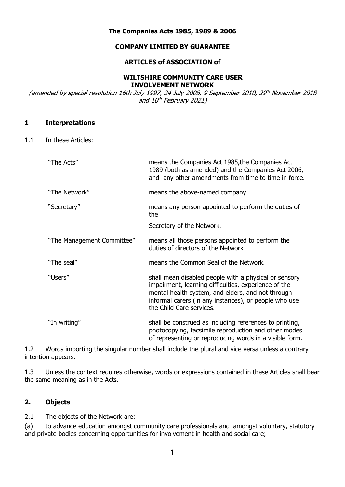### **The Companies Acts 1985, 1989 & 2006**

### **COMPANY LIMITED BY GUARANTEE**

### **ARTICLES of ASSOCIATION of**

### **WILTSHIRE COMMUNITY CARE USER INVOLVEMENT NETWORK**

(amended by special resolution 16th July 1997, 24 July 2008, 9 September 2010, 29 th November 2018 and 10<sup>th</sup> February 2021)

### **1 Interpretations**

1.1 In these Articles:

| "The Acts"                 | means the Companies Act 1985, the Companies Act<br>1989 (both as amended) and the Companies Act 2006,<br>and any other amendments from time to time in force.                                                                                           |
|----------------------------|---------------------------------------------------------------------------------------------------------------------------------------------------------------------------------------------------------------------------------------------------------|
| "The Network"              | means the above-named company.                                                                                                                                                                                                                          |
| "Secretary"                | means any person appointed to perform the duties of<br>the                                                                                                                                                                                              |
|                            | Secretary of the Network.                                                                                                                                                                                                                               |
| "The Management Committee" | means all those persons appointed to perform the<br>duties of directors of the Network                                                                                                                                                                  |
| "The seal"                 | means the Common Seal of the Network.                                                                                                                                                                                                                   |
| "Users"                    | shall mean disabled people with a physical or sensory<br>impairment, learning difficulties, experience of the<br>mental health system, and elders, and not through<br>informal carers (in any instances), or people who use<br>the Child Care services. |
| "In writing"               | shall be construed as including references to printing,<br>photocopying, facsimile reproduction and other modes<br>of representing or reproducing words in a visible form.                                                                              |

1.2 Words importing the singular number shall include the plural and vice versa unless a contrary intention appears.

1.3 Unless the context requires otherwise, words or expressions contained in these Articles shall bear the same meaning as in the Acts.

# **2. Objects**

2.1 The objects of the Network are:

(a) to advance education amongst community care professionals and amongst voluntary, statutory and private bodies concerning opportunities for involvement in health and social care;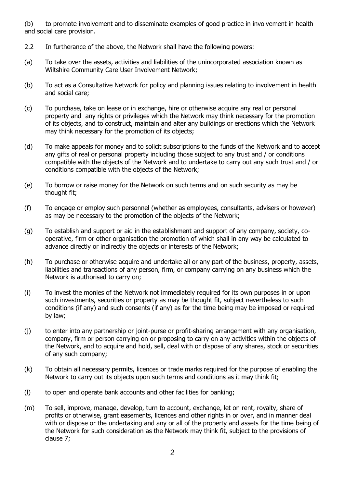(b) to promote involvement and to disseminate examples of good practice in involvement in health and social care provision.

- 2.2 In furtherance of the above, the Network shall have the following powers:
- (a) To take over the assets, activities and liabilities of the unincorporated association known as Wiltshire Community Care User Involvement Network;
- (b) To act as a Consultative Network for policy and planning issues relating to involvement in health and social care;
- (c) To purchase, take on lease or in exchange, hire or otherwise acquire any real or personal property and any rights or privileges which the Network may think necessary for the promotion of its objects, and to construct, maintain and alter any buildings or erections which the Network may think necessary for the promotion of its objects;
- (d) To make appeals for money and to solicit subscriptions to the funds of the Network and to accept any gifts of real or personal property including those subject to any trust and / or conditions compatible with the objects of the Network and to undertake to carry out any such trust and / or conditions compatible with the objects of the Network;
- (e) To borrow or raise money for the Network on such terms and on such security as may be thought fit;
- (f) To engage or employ such personnel (whether as employees, consultants, advisers or however) as may be necessary to the promotion of the objects of the Network;
- (g) To establish and support or aid in the establishment and support of any company, society, cooperative, firm or other organisation the promotion of which shall in any way be calculated to advance directly or indirectly the objects or interests of the Network;
- (h) To purchase or otherwise acquire and undertake all or any part of the business, property, assets, liabilities and transactions of any person, firm, or company carrying on any business which the Network is authorised to carry on;
- (i) To invest the monies of the Network not immediately required for its own purposes in or upon such investments, securities or property as may be thought fit, subject nevertheless to such conditions (if any) and such consents (if any) as for the time being may be imposed or required by law;
- (j) to enter into any partnership or joint-purse or profit-sharing arrangement with any organisation, company, firm or person carrying on or proposing to carry on any activities within the objects of the Network, and to acquire and hold, sell, deal with or dispose of any shares, stock or securities of any such company;
- (k) To obtain all necessary permits, licences or trade marks required for the purpose of enabling the Network to carry out its objects upon such terms and conditions as it may think fit;
- (l) to open and operate bank accounts and other facilities for banking;
- (m) To sell, improve, manage, develop, turn to account, exchange, let on rent, royalty, share of profits or otherwise, grant easements, licences and other rights in or over, and in manner deal with or dispose or the undertaking and any or all of the property and assets for the time being of the Network for such consideration as the Network may think fit, subject to the provisions of clause 7;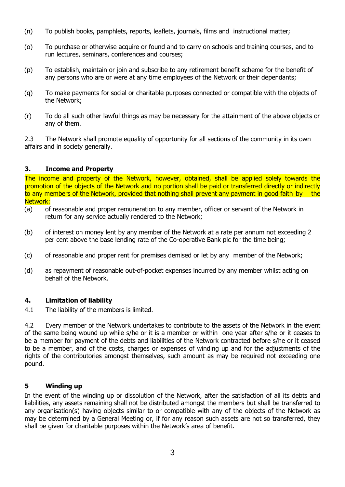- (n) To publish books, pamphlets, reports, leaflets, journals, films and instructional matter;
- (o) To purchase or otherwise acquire or found and to carry on schools and training courses, and to run lectures, seminars, conferences and courses;
- (p) To establish, maintain or join and subscribe to any retirement benefit scheme for the benefit of any persons who are or were at any time employees of the Network or their dependants;
- (q) To make payments for social or charitable purposes connected or compatible with the objects of the Network;
- (r) To do all such other lawful things as may be necessary for the attainment of the above objects or any of them.

2.3 The Network shall promote equality of opportunity for all sections of the community in its own affairs and in society generally.

# **3. Income and Property**

The income and property of the Network, however, obtained, shall be applied solely towards the promotion of the objects of the Network and no portion shall be paid or transferred directly or indirectly to any members of the Network, provided that nothing shall prevent any payment in good faith by the Network:

- (a) of reasonable and proper remuneration to any member, officer or servant of the Network in return for any service actually rendered to the Network;
- (b) of interest on money lent by any member of the Network at a rate per annum not exceeding 2 per cent above the base lending rate of the Co-operative Bank plc for the time being;
- (c) of reasonable and proper rent for premises demised or let by any member of the Network;
- (d) as repayment of reasonable out-of-pocket expenses incurred by any member whilst acting on behalf of the Network.

# **4. Limitation of liability**

4.1 The liability of the members is limited.

4.2 Every member of the Network undertakes to contribute to the assets of the Network in the event of the same being wound up while s/he or it is a member or within one year after s/he or it ceases to be a member for payment of the debts and liabilities of the Network contracted before s/he or it ceased to be a member, and of the costs, charges or expenses of winding up and for the adjustments of the rights of the contributories amongst themselves, such amount as may be required not exceeding one pound.

# **5 Winding up**

In the event of the winding up or dissolution of the Network, after the satisfaction of all its debts and liabilities, any assets remaining shall not be distributed amongst the members but shall be transferred to any organisation(s) having objects similar to or compatible with any of the objects of the Network as may be determined by a General Meeting or, if for any reason such assets are not so transferred, they shall be given for charitable purposes within the Network's area of benefit.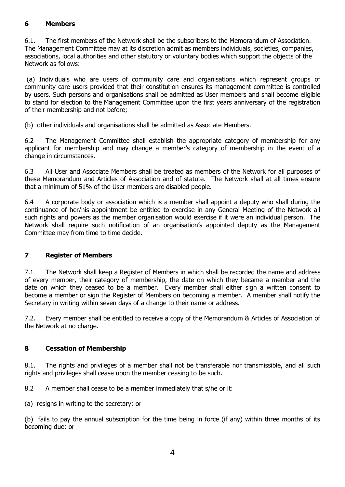# **6 Members**

6.1. The first members of the Network shall be the subscribers to the Memorandum of Association. The Management Committee may at its discretion admit as members individuals, societies, companies, associations, local authorities and other statutory or voluntary bodies which support the objects of the Network as follows:

(a) Individuals who are users of community care and organisations which represent groups of community care users provided that their constitution ensures its management committee is controlled by users. Such persons and organisations shall be admitted as User members and shall become eligible to stand for election to the Management Committee upon the first years anniversary of the registration of their membership and not before;

(b) other individuals and organisations shall be admitted as Associate Members.

6.2 The Management Committee shall establish the appropriate category of membership for any applicant for membership and may change a member's category of membership in the event of a change in circumstances.

6.3 All User and Associate Members shall be treated as members of the Network for all purposes of these Memorandum and Articles of Association and of statute. The Network shall at all times ensure that a minimum of 51% of the User members are disabled people.

6.4 A corporate body or association which is a member shall appoint a deputy who shall during the continuance of her/his appointment be entitled to exercise in any General Meeting of the Network all such rights and powers as the member organisation would exercise if it were an individual person. The Network shall require such notification of an organisation's appointed deputy as the Management Committee may from time to time decide.

# **7 Register of Members**

7.1 The Network shall keep a Register of Members in which shall be recorded the name and address of every member, their category of membership, the date on which they became a member and the date on which they ceased to be a member. Every member shall either sign a written consent to become a member or sign the Register of Members on becoming a member. A member shall notify the Secretary in writing within seven days of a change to their name or address.

7.2. Every member shall be entitled to receive a copy of the Memorandum & Articles of Association of the Network at no charge.

# **8 Cessation of Membership**

8.1. The rights and privileges of a member shall not be transferable nor transmissible, and all such rights and privileges shall cease upon the member ceasing to be such.

8.2 A member shall cease to be a member immediately that s/he or it:

(a) resigns in writing to the secretary; or

(b) fails to pay the annual subscription for the time being in force (if any) within three months of its becoming due; or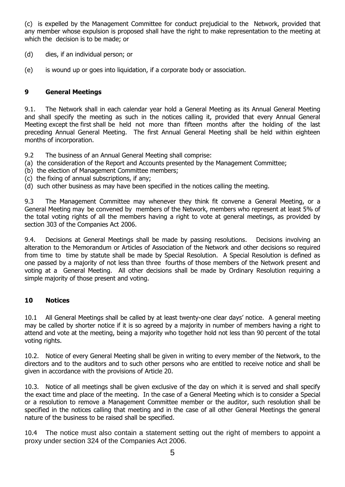(c) is expelled by the Management Committee for conduct prejudicial to the Network, provided that any member whose expulsion is proposed shall have the right to make representation to the meeting at which the decision is to be made; or

- (d) dies, if an individual person; or
- (e) is wound up or goes into liquidation, if a corporate body or association.

# **9 General Meetings**

9.1. The Network shall in each calendar year hold a General Meeting as its Annual General Meeting and shall specify the meeting as such in the notices calling it, provided that every Annual General Meeting except the first shall be held not more than fifteen months after the holding of the last preceding Annual General Meeting. The first Annual General Meeting shall be held within eighteen months of incorporation.

9.2 The business of an Annual General Meeting shall comprise:

- (a) the consideration of the Report and Accounts presented by the Management Committee;
- (b) the election of Management Committee members;
- (c) the fixing of annual subscriptions, if any;
- (d) such other business as may have been specified in the notices calling the meeting.

9.3 The Management Committee may whenever they think fit convene a General Meeting, or a General Meeting may be convened by members of the Network, members who represent at least 5% of the total voting rights of all the members having a right to vote at general meetings, as provided by section 303 of the Companies Act 2006.

9.4. Decisions at General Meetings shall be made by passing resolutions. Decisions involving an alteration to the Memorandum or Articles of Association of the Network and other decisions so required from time to time by statute shall be made by Special Resolution. A Special Resolution is defined as one passed by a majority of not less than three fourths of those members of the Network present and voting at a General Meeting. All other decisions shall be made by Ordinary Resolution requiring a simple majority of those present and voting.

### **10 Notices**

10.1 All General Meetings shall be called by at least twenty-one clear days' notice. A general meeting may be called by shorter notice if it is so agreed by a majority in number of members having a right to attend and vote at the meeting, being a majority who together hold not less than 90 percent of the total voting rights.

10.2. Notice of every General Meeting shall be given in writing to every member of the Network, to the directors and to the auditors and to such other persons who are entitled to receive notice and shall be given in accordance with the provisions of Article 20.

10.3. Notice of all meetings shall be given exclusive of the day on which it is served and shall specify the exact time and place of the meeting. In the case of a General Meeting which is to consider a Special or a resolution to remove a Management Committee member or the auditor, such resolution shall be specified in the notices calling that meeting and in the case of all other General Meetings the general nature of the business to be raised shall be specified.

10.4 The notice must also contain a statement setting out the right of members to appoint a proxy under section 324 of the Companies Act 2006.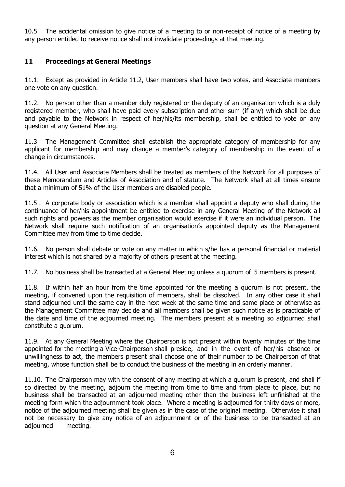10.5 The accidental omission to give notice of a meeting to or non-receipt of notice of a meeting by any person entitled to receive notice shall not invalidate proceedings at that meeting.

# **11 Proceedings at General Meetings**

11.1. Except as provided in Article 11.2, User members shall have two votes, and Associate members one vote on any question.

11.2. No person other than a member duly registered or the deputy of an organisation which is a duly registered member, who shall have paid every subscription and other sum (if any) which shall be due and payable to the Network in respect of her/his/its membership, shall be entitled to vote on any question at any General Meeting.

11.3 The Management Committee shall establish the appropriate category of membership for any applicant for membership and may change a member's category of membership in the event of a change in circumstances.

11.4. All User and Associate Members shall be treated as members of the Network for all purposes of these Memorandum and Articles of Association and of statute. The Network shall at all times ensure that a minimum of 51% of the User members are disabled people.

11.5 . A corporate body or association which is a member shall appoint a deputy who shall during the continuance of her/his appointment be entitled to exercise in any General Meeting of the Network all such rights and powers as the member organisation would exercise if it were an individual person. The Network shall require such notification of an organisation's appointed deputy as the Management Committee may from time to time decide.

11.6. No person shall debate or vote on any matter in which s/he has a personal financial or material interest which is not shared by a majority of others present at the meeting.

11.7. No business shall be transacted at a General Meeting unless a quorum of 5 members is present.

11.8. If within half an hour from the time appointed for the meeting a quorum is not present, the meeting, if convened upon the requisition of members, shall be dissolved. In any other case it shall stand adjourned until the same day in the next week at the same time and same place or otherwise as the Management Committee may decide and all members shall be given such notice as is practicable of the date and time of the adjourned meeting. The members present at a meeting so adjourned shall constitute a quorum.

11.9. At any General Meeting where the Chairperson is not present within twenty minutes of the time appointed for the meeting a Vice-Chairperson shall preside, and in the event of her/his absence or unwillingness to act, the members present shall choose one of their number to be Chairperson of that meeting, whose function shall be to conduct the business of the meeting in an orderly manner.

11.10. The Chairperson may with the consent of any meeting at which a quorum is present, and shall if so directed by the meeting, adjourn the meeting from time to time and from place to place, but no business shall be transacted at an adjourned meeting other than the business left unfinished at the meeting form which the adjournment took place. Where a meeting is adjourned for thirty days or more, notice of the adjourned meeting shall be given as in the case of the original meeting. Otherwise it shall not be necessary to give any notice of an adjournment or of the business to be transacted at an adjourned meeting.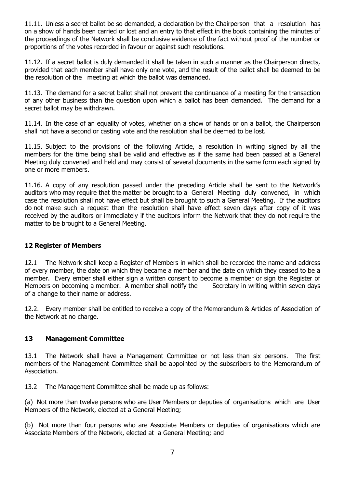11.11. Unless a secret ballot be so demanded, a declaration by the Chairperson that a resolution has on a show of hands been carried or lost and an entry to that effect in the book containing the minutes of the proceedings of the Network shall be conclusive evidence of the fact without proof of the number or proportions of the votes recorded in favour or against such resolutions.

11.12. If a secret ballot is duly demanded it shall be taken in such a manner as the Chairperson directs, provided that each member shall have only one vote, and the result of the ballot shall be deemed to be the resolution of the meeting at which the ballot was demanded.

11.13. The demand for a secret ballot shall not prevent the continuance of a meeting for the transaction of any other business than the question upon which a ballot has been demanded. The demand for a secret ballot may be withdrawn.

11.14. In the case of an equality of votes, whether on a show of hands or on a ballot, the Chairperson shall not have a second or casting vote and the resolution shall be deemed to be lost.

11.15. Subject to the provisions of the following Article, a resolution in writing signed by all the members for the time being shall be valid and effective as if the same had been passed at a General Meeting duly convened and held and may consist of several documents in the same form each signed by one or more members.

11.16. A copy of any resolution passed under the preceding Article shall be sent to the Network's auditors who may require that the matter be brought to a General Meeting duly convened, in which case the resolution shall not have effect but shall be brought to such a General Meeting. If the auditors do not make such a request then the resolution shall have effect seven days after copy of it was received by the auditors or immediately if the auditors inform the Network that they do not require the matter to be brought to a General Meeting.

# **12 Register of Members**

12.1 The Network shall keep a Register of Members in which shall be recorded the name and address of every member, the date on which they became a member and the date on which they ceased to be a member. Every ember shall either sign a written consent to become a member or sign the Register of Members on becoming a member. A member shall notify the Secretary in writing within seven days of a change to their name or address.

12.2. Every member shall be entitled to receive a copy of the Memorandum & Articles of Association of the Network at no charge.

# **13 Management Committee**

13.1 The Network shall have a Management Committee or not less than six persons. The first members of the Management Committee shall be appointed by the subscribers to the Memorandum of Association.

13.2 The Management Committee shall be made up as follows:

(a) Not more than twelve persons who are User Members or deputies of organisations which are User Members of the Network, elected at a General Meeting;

(b) Not more than four persons who are Associate Members or deputies of organisations which are Associate Members of the Network, elected at a General Meeting; and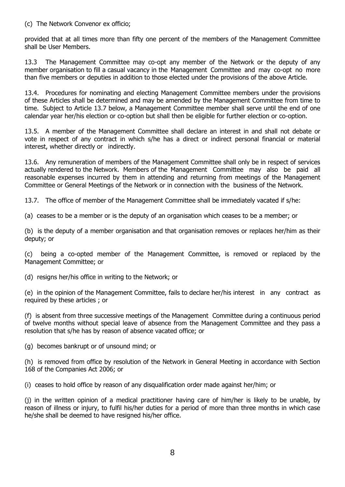### (c) The Network Convenor ex officio;

provided that at all times more than fifty one percent of the members of the Management Committee shall be User Members.

13.3 The Management Committee may co-opt any member of the Network or the deputy of any member organisation to fill a casual vacancy in the Management Committee and may co-opt no more than five members or deputies in addition to those elected under the provisions of the above Article.

13.4. Procedures for nominating and electing Management Committee members under the provisions of these Articles shall be determined and may be amended by the Management Committee from time to time. Subject to Article 13.7 below, a Management Committee member shall serve until the end of one calendar year her/his election or co-option but shall then be eligible for further election or co-option.

13.5. A member of the Management Committee shall declare an interest in and shall not debate or vote in respect of any contract in which s/he has a direct or indirect personal financial or material interest, whether directly or indirectly.

13.6. Any remuneration of members of the Management Committee shall only be in respect of services actually rendered to the Network. Members of the Management Committee may also be paid all reasonable expenses incurred by them in attending and returning from meetings of the Management Committee or General Meetings of the Network or in connection with the business of the Network.

13.7. The office of member of the Management Committee shall be immediately vacated if s/he:

(a) ceases to be a member or is the deputy of an organisation which ceases to be a member; or

(b) is the deputy of a member organisation and that organisation removes or replaces her/him as their deputy; or

(c) being a co-opted member of the Management Committee, is removed or replaced by the Management Committee; or

(d) resigns her/his office in writing to the Network; or

(e) in the opinion of the Management Committee, fails to declare her/his interest in any contract as required by these articles ; or

(f) is absent from three successive meetings of the Management Committee during a continuous period of twelve months without special leave of absence from the Management Committee and they pass a resolution that s/he has by reason of absence vacated office; or

(g) becomes bankrupt or of unsound mind; or

(h) is removed from office by resolution of the Network in General Meeting in accordance with Section 168 of the Companies Act 2006; or

(i) ceases to hold office by reason of any disqualification order made against her/him; or

(j) in the written opinion of a medical practitioner having care of him/her is likely to be unable, by reason of illness or injury, to fulfil his/her duties for a period of more than three months in which case he/she shall be deemed to have resigned his/her office.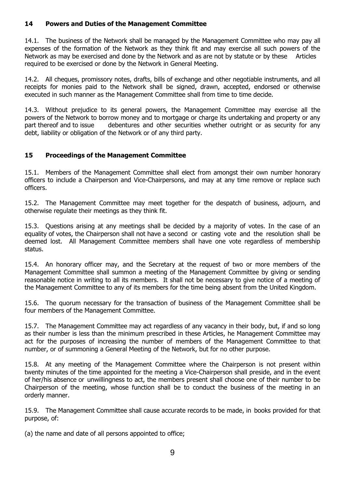# **14 Powers and Duties of the Management Committee**

14.1. The business of the Network shall be managed by the Management Committee who may pay all expenses of the formation of the Network as they think fit and may exercise all such powers of the Network as may be exercised and done by the Network and as are not by statute or by these Articles required to be exercised or done by the Network in General Meeting.

14.2. All cheques, promissory notes, drafts, bills of exchange and other negotiable instruments, and all receipts for monies paid to the Network shall be signed, drawn, accepted, endorsed or otherwise executed in such manner as the Management Committee shall from time to time decide.

14.3. Without prejudice to its general powers, the Management Committee may exercise all the powers of the Network to borrow money and to mortgage or charge its undertaking and property or any part thereof and to issue debentures and other securities whether outright or as security for any debt, liability or obligation of the Network or of any third party.

# **15 Proceedings of the Management Committee**

15.1. Members of the Management Committee shall elect from amongst their own number honorary officers to include a Chairperson and Vice-Chairpersons, and may at any time remove or replace such officers.

15.2. The Management Committee may meet together for the despatch of business, adjourn, and otherwise regulate their meetings as they think fit.

15.3. Questions arising at any meetings shall be decided by a majority of votes. In the case of an equality of votes, the Chairperson shall not have a second or casting vote and the resolution shall be deemed lost. All Management Committee members shall have one vote regardless of membership status.

15.4. An honorary officer may, and the Secretary at the request of two or more members of the Management Committee shall summon a meeting of the Management Committee by giving or sending reasonable notice in writing to all its members. It shall not be necessary to give notice of a meeting of the Management Committee to any of its members for the time being absent from the United Kingdom.

15.6. The quorum necessary for the transaction of business of the Management Committee shall be four members of the Management Committee.

15.7. The Management Committee may act regardless of any vacancy in their body, but, if and so long as their number is less than the minimum prescribed in these Articles, he Management Committee may act for the purposes of increasing the number of members of the Management Committee to that number, or of summoning a General Meeting of the Network, but for no other purpose.

15.8. At any meeting of the Management Committee where the Chairperson is not present within twenty minutes of the time appointed for the meeting a Vice-Chairperson shall preside, and in the event of her/his absence or unwillingness to act, the members present shall choose one of their number to be Chairperson of the meeting, whose function shall be to conduct the business of the meeting in an orderly manner.

15.9. The Management Committee shall cause accurate records to be made, in books provided for that purpose, of:

(a) the name and date of all persons appointed to office;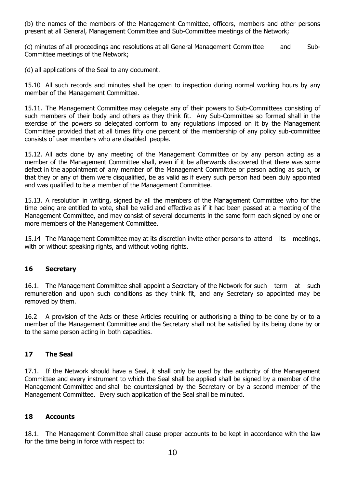(b) the names of the members of the Management Committee, officers, members and other persons present at all General, Management Committee and Sub-Committee meetings of the Network;

(c) minutes of all proceedings and resolutions at all General Management Committee and Sub-Committee meetings of the Network;

(d) all applications of the Seal to any document.

15.10 All such records and minutes shall be open to inspection during normal working hours by any member of the Management Committee.

15.11. The Management Committee may delegate any of their powers to Sub-Committees consisting of such members of their body and others as they think fit. Any Sub-Committee so formed shall in the exercise of the powers so delegated conform to any regulations imposed on it by the Management Committee provided that at all times fifty one percent of the membership of any policy sub-committee consists of user members who are disabled people.

15.12. All acts done by any meeting of the Management Committee or by any person acting as a member of the Management Committee shall, even if it be afterwards discovered that there was some defect in the appointment of any member of the Management Committee or person acting as such, or that they or any of them were disqualified, be as valid as if every such person had been duly appointed and was qualified to be a member of the Management Committee.

15.13. A resolution in writing, signed by all the members of the Management Committee who for the time being are entitled to vote, shall be valid and effective as if it had been passed at a meeting of the Management Committee, and may consist of several documents in the same form each signed by one or more members of the Management Committee.

15.14 The Management Committee may at its discretion invite other persons to attend its meetings, with or without speaking rights, and without voting rights.

# **16 Secretary**

16.1. The Management Committee shall appoint a Secretary of the Network for such term at such remuneration and upon such conditions as they think fit, and any Secretary so appointed may be removed by them.

16.2 A provision of the Acts or these Articles requiring or authorising a thing to be done by or to a member of the Management Committee and the Secretary shall not be satisfied by its being done by or to the same person acting in both capacities.

# **17 The Seal**

17.1. If the Network should have a Seal, it shall only be used by the authority of the Management Committee and every instrument to which the Seal shall be applied shall be signed by a member of the Management Committee and shall be countersigned by the Secretary or by a second member of the Management Committee. Every such application of the Seal shall be minuted.

# **18 Accounts**

18.1. The Management Committee shall cause proper accounts to be kept in accordance with the law for the time being in force with respect to: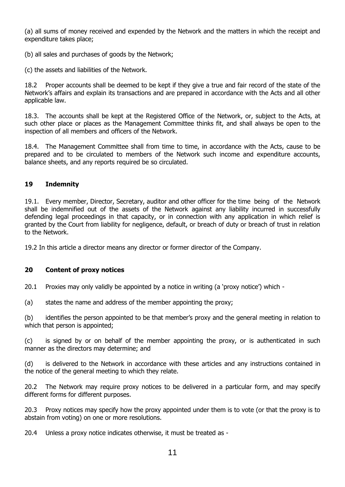(a) all sums of money received and expended by the Network and the matters in which the receipt and expenditure takes place;

(b) all sales and purchases of goods by the Network;

(c) the assets and liabilities of the Network.

18.2 Proper accounts shall be deemed to be kept if they give a true and fair record of the state of the Network's affairs and explain its transactions and are prepared in accordance with the Acts and all other applicable law.

18.3. The accounts shall be kept at the Registered Office of the Network, or, subject to the Acts, at such other place or places as the Management Committee thinks fit, and shall always be open to the inspection of all members and officers of the Network.

18.4. The Management Committee shall from time to time, in accordance with the Acts, cause to be prepared and to be circulated to members of the Network such income and expenditure accounts, balance sheets, and any reports required be so circulated.

# **19 Indemnity**

19.1. Every member, Director, Secretary, auditor and other officer for the time being of the Network shall be indemnified out of the assets of the Network against any liability incurred in successfully defending legal proceedings in that capacity, or in connection with any application in which relief is granted by the Court from liability for negligence, default, or breach of duty or breach of trust in relation to the Network.

19.2 In this article a director means any director or former director of the Company.

# **20 Content of proxy notices**

20.1 Proxies may only validly be appointed by a notice in writing (a 'proxy notice') which -

(a) states the name and address of the member appointing the proxy;

(b) identifies the person appointed to be that member's proxy and the general meeting in relation to which that person is appointed;

(c) is signed by or on behalf of the member appointing the proxy, or is authenticated in such manner as the directors may determine; and

(d) is delivered to the Network in accordance with these articles and any instructions contained in the notice of the general meeting to which they relate.

20.2 The Network may require proxy notices to be delivered in a particular form, and may specify different forms for different purposes.

20.3 Proxy notices may specify how the proxy appointed under them is to vote (or that the proxy is to abstain from voting) on one or more resolutions.

20.4 Unless a proxy notice indicates otherwise, it must be treated as -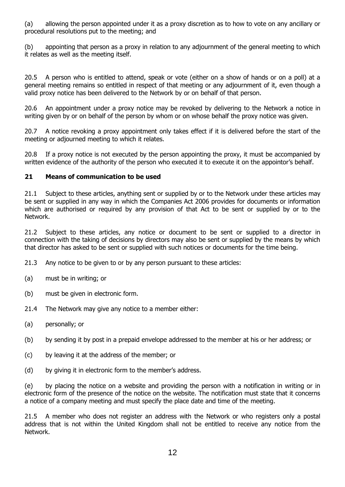(a) allowing the person appointed under it as a proxy discretion as to how to vote on any ancillary or procedural resolutions put to the meeting; and

(b) appointing that person as a proxy in relation to any adjournment of the general meeting to which it relates as well as the meeting itself.

20.5 A person who is entitled to attend, speak or vote (either on a show of hands or on a poll) at a general meeting remains so entitled in respect of that meeting or any adjournment of it, even though a valid proxy notice has been delivered to the Network by or on behalf of that person.

20.6 An appointment under a proxy notice may be revoked by delivering to the Network a notice in writing given by or on behalf of the person by whom or on whose behalf the proxy notice was given.

20.7 A notice revoking a proxy appointment only takes effect if it is delivered before the start of the meeting or adjourned meeting to which it relates.

20.8 If a proxy notice is not executed by the person appointing the proxy, it must be accompanied by written evidence of the authority of the person who executed it to execute it on the appointor's behalf.

# **21 Means of communication to be used**

21.1 Subject to these articles, anything sent or supplied by or to the Network under these articles may be sent or supplied in any way in which the Companies Act 2006 provides for documents or information which are authorised or required by any provision of that Act to be sent or supplied by or to the Network.

21.2 Subject to these articles, any notice or document to be sent or supplied to a director in connection with the taking of decisions by directors may also be sent or supplied by the means by which that director has asked to be sent or supplied with such notices or documents for the time being.

21.3 Any notice to be given to or by any person pursuant to these articles:

- (a) must be in writing; or
- (b) must be given in electronic form.
- 21.4 The Network may give any notice to a member either:
- (a) personally; or
- (b) by sending it by post in a prepaid envelope addressed to the member at his or her address; or
- (c) by leaving it at the address of the member; or
- (d) by giving it in electronic form to the member's address.

(e) by placing the notice on a website and providing the person with a notification in writing or in electronic form of the presence of the notice on the website. The notification must state that it concerns a notice of a company meeting and must specify the place date and time of the meeting.

21.5 A member who does not register an address with the Network or who registers only a postal address that is not within the United Kingdom shall not be entitled to receive any notice from the Network.